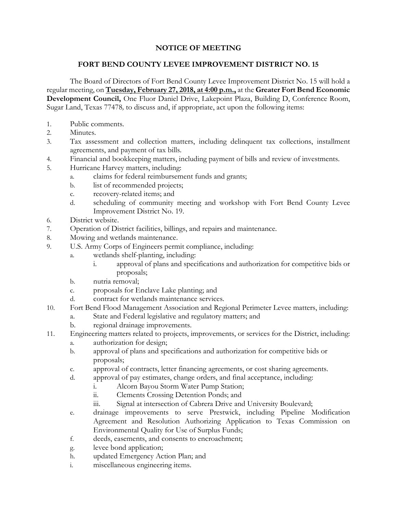## **NOTICE OF MEETING**

## **FORT BEND COUNTY LEVEE IMPROVEMENT DISTRICT NO. 15**

The Board of Directors of Fort Bend County Levee Improvement District No. 15 will hold a regular meeting, on **Tuesday, February 27, 2018, at 4:00 p.m.,** at the **Greater Fort Bend Economic Development Council,** One Fluor Daniel Drive, Lakepoint Plaza, Building D, Conference Room, Sugar Land, Texas 77478*,* to discuss and, if appropriate, act upon the following items:

- 1. Public comments.
- 2. Minutes.
- 3. Tax assessment and collection matters, including delinquent tax collections, installment agreements, and payment of tax bills.
- 4. Financial and bookkeeping matters, including payment of bills and review of investments.
- 5. Hurricane Harvey matters, including:
	- a. claims for federal reimbursement funds and grants;
	- b. list of recommended projects;
	- c. recovery-related items; and
	- d. scheduling of community meeting and workshop with Fort Bend County Levee Improvement District No. 19.
- 6. District website.
- 7. Operation of District facilities, billings, and repairs and maintenance.
- 8. Mowing and wetlands maintenance.
- 9. U.S. Army Corps of Engineers permit compliance, including:
	- a. wetlands shelf-planting, including:
		- i. approval of plans and specifications and authorization for competitive bids or proposals;
	- b. nutria removal;
	- c. proposals for Enclave Lake planting; and
	- d. contract for wetlands maintenance services.
- 10. Fort Bend Flood Management Association and Regional Perimeter Levee matters, including:
	- a. State and Federal legislative and regulatory matters; and
		- b. regional drainage improvements.
- 11. Engineering matters related to projects, improvements, or services for the District, including:
	- a. authorization for design;
	- b. approval of plans and specifications and authorization for competitive bids or proposals;
	- c. approval of contracts, letter financing agreements, or cost sharing agreements.
	- d. approval of pay estimates, change orders, and final acceptance, including:
		- i. Alcorn Bayou Storm Water Pump Station;
		- ii. Clements Crossing Detention Ponds; and
		- iii. Signal at intersection of Cabrera Drive and University Boulevard;
	- e. drainage improvements to serve Prestwick, including Pipeline Modification Agreement and Resolution Authorizing Application to Texas Commission on Environmental Quality for Use of Surplus Funds;
	- f. deeds, easements, and consents to encroachment;
	- g. levee bond application;
	- h. updated Emergency Action Plan; and
	- i. miscellaneous engineering items.